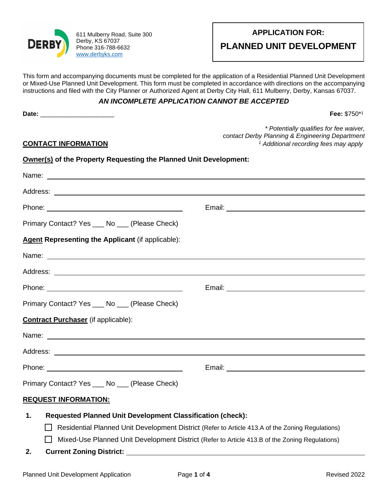

611 Mulberry Road, Suite 300 Derby, KS 67037 Phone 316-788-6632 [www.derbyks.com](http://www.derbyks.com/)

**PLANNED UNIT DEVELOPMENT**

This form and accompanying documents must be completed for the application of a Residential Planned Unit Development or Mixed-Use Planned Unit Development. This form must be completed in accordance with directions on the accompanying instructions and filed with the City Planner or Authorized Agent at Derby City Hall, 611 Mulberry, Derby, Kansas 67037.

## *AN INCOMPLETE APPLICATION CANNOT BE ACCEPTED*

**Date:** \_\_\_\_\_\_\_\_\_\_\_\_\_\_\_\_\_\_\_\_\_ **Fee:** \$750\*<sup>1</sup>

*\* Potentially qualifies for fee waiver, contact Derby Planning & Engineering Department <sup>1</sup> Additional recording fees may apply*

# **CONTACT INFORMATION**

| <b>Owner(s)</b> of the Property Requesting the Planned Unit Development: |  |
|--------------------------------------------------------------------------|--|
|--------------------------------------------------------------------------|--|

| Primary Contact? Yes ____ No ____ (Please Check)                                                                                                                                                                              |  |  |  |
|-------------------------------------------------------------------------------------------------------------------------------------------------------------------------------------------------------------------------------|--|--|--|
| <b>Agent Representing the Applicant (if applicable):</b>                                                                                                                                                                      |  |  |  |
|                                                                                                                                                                                                                               |  |  |  |
|                                                                                                                                                                                                                               |  |  |  |
|                                                                                                                                                                                                                               |  |  |  |
| Primary Contact? Yes ____ No ___ (Please Check)                                                                                                                                                                               |  |  |  |
| <b>Contract Purchaser</b> (if applicable):                                                                                                                                                                                    |  |  |  |
| Name: Name: Name: Name: Name: Name: Name: Name: Name: Name: Name: Name: Name: Name: Name: Name: Name: Name: Name: Name: Name: Name: Name: Name: Name: Name: Name: Name: Name: Name: Name: Name: Name: Name: Name: Name: Name: |  |  |  |
|                                                                                                                                                                                                                               |  |  |  |
|                                                                                                                                                                                                                               |  |  |  |
| Primary Contact? Yes ___ No ___ (Please Check)                                                                                                                                                                                |  |  |  |
| <b>REQUEST INFORMATION:</b>                                                                                                                                                                                                   |  |  |  |
| <b>Requested Planned Unit Development Classification (check):</b><br>1.                                                                                                                                                       |  |  |  |
| Residential Planned Unit Development District (Refer to Article 413.A of the Zoning Regulations)                                                                                                                              |  |  |  |

- Mixed-Use Planned Unit Development District (Refer to Article 413.B of the Zoning Regulations)
- **2. Current Zoning District:**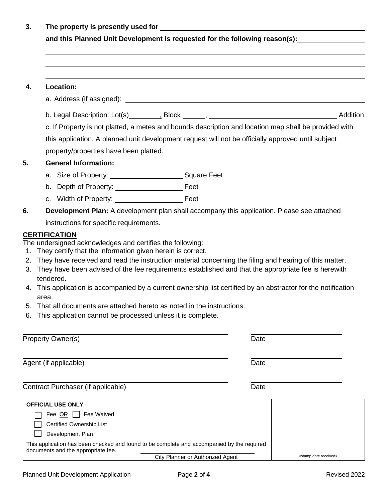**3. The property is presently used for** 

**and this Planned Unit Development is requested for the following reason(s):**

## **4. Location:**

- a. Address (if assigned):
- b. Legal Description: Lot(s) \_\_\_\_\_\_\_\_\_, Block \_\_\_\_\_\_, \_\_\_\_\_\_\_ contact the contact and Addition

c. If Property is not platted, a metes and bounds description and location map shall be provided with this application. A planned unit development request will not be officially approved until subject property/properties have been platted.

#### **5. General Information:**

- a. Size of Property: \_\_\_\_\_\_\_\_\_\_\_\_\_\_\_\_\_\_\_\_\_\_\_\_\_Square Feet
- b. Depth of Property: Feet
- c. Width of Property: Feet
- **6. Development Plan:** A development plan shall accompany this application. Please see attached instructions for specific requirements.

## **CERTIFICATION**

The undersigned acknowledges and certifies the following:

- 1. They certify that the information given herein is correct.
- 2. They have received and read the instruction material concerning the filing and hearing of this matter.
- 3. They have been advised of the fee requirements established and that the appropriate fee is herewith tendered.
- 4. This application is accompanied by a current ownership list certified by an abstractor for the notification area.
- 5. That all documents are attached hereto as noted in the instructions.
- 6. This application cannot be processed unless it is complete.

| Date                                |                                                                                                                                |
|-------------------------------------|--------------------------------------------------------------------------------------------------------------------------------|
| Date                                |                                                                                                                                |
| Date                                |                                                                                                                                |
|                                     |                                                                                                                                |
|                                     |                                                                                                                                |
|                                     |                                                                                                                                |
| <stamp date="" received=""></stamp> |                                                                                                                                |
|                                     | This application has been checked and found to be complete and accompanied by the required<br>City Planner or Authorized Agent |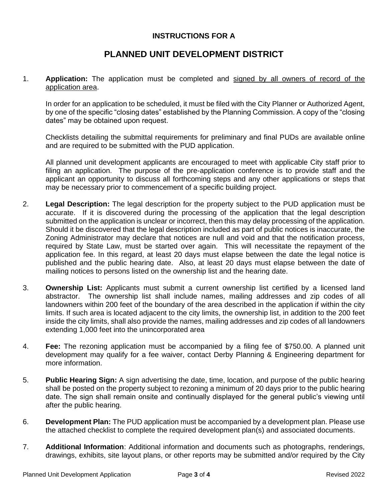# **INSTRUCTIONS FOR A**

# **PLANNED UNIT DEVELOPMENT DISTRICT**

1. **Application:** The application must be completed and signed by all owners of record of the application area.

In order for an application to be scheduled, it must be filed with the City Planner or Authorized Agent, by one of the specific "closing dates" established by the Planning Commission. A copy of the "closing dates" may be obtained upon request.

Checklists detailing the submittal requirements for preliminary and final PUDs are available online and are required to be submitted with the PUD application.

All planned unit development applicants are encouraged to meet with applicable City staff prior to filing an application. The purpose of the pre-application conference is to provide staff and the applicant an opportunity to discuss all forthcoming steps and any other applications or steps that may be necessary prior to commencement of a specific building project.

- 2. **Legal Description:** The legal description for the property subject to the PUD application must be accurate. If it is discovered during the processing of the application that the legal description submitted on the application is unclear or incorrect, then this may delay processing of the application. Should it be discovered that the legal description included as part of public notices is inaccurate, the Zoning Administrator may declare that notices are null and void and that the notification process, required by State Law, must be started over again. This will necessitate the repayment of the application fee. In this regard, at least 20 days must elapse between the date the legal notice is published and the public hearing date. Also, at least 20 days must elapse between the date of mailing notices to persons listed on the ownership list and the hearing date.
- 3. **Ownership List:** Applicants must submit a current ownership list certified by a licensed land abstractor. The ownership list shall include names, mailing addresses and zip codes of all landowners within 200 feet of the boundary of the area described in the application if within the city limits. If such area is located adjacent to the city limits, the ownership list, in addition to the 200 feet inside the city limits, shall also provide the names, mailing addresses and zip codes of all landowners extending 1,000 feet into the unincorporated area
- 4. **Fee:** The rezoning application must be accompanied by a filing fee of \$750.00. A planned unit development may qualify for a fee waiver, contact Derby Planning & Engineering department for more information.
- 5. **Public Hearing Sign:** A sign advertising the date, time, location, and purpose of the public hearing shall be posted on the property subject to rezoning a minimum of 20 days prior to the public hearing date. The sign shall remain onsite and continually displayed for the general public's viewing until after the public hearing.
- 6. **Development Plan:** The PUD application must be accompanied by a development plan. Please use the attached checklist to complete the required development plan(s) and associated documents.
- 7. **Additional Information**: Additional information and documents such as photographs, renderings, drawings, exhibits, site layout plans, or other reports may be submitted and/or required by the City